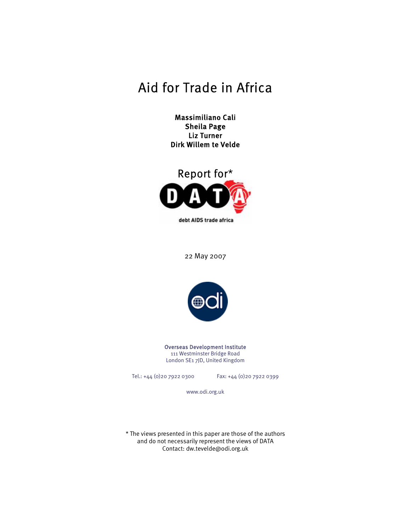# Aid for Trade in Africa

Massimiliano Cali Sheila Page Liz Turner Dirk Willem te Velde



22 May 2007



Overseas Development Institute 111 Westminster Bridge Road London SE1 7JD, United Kingdom

Tel.: +44 (0)20 7922 0300 Fax: +44 (0)20 7922 0399

www.odi.org.uk

\* The views presented in this paper are those of the authors and do not necessarily represent the views of DATA Contact: dw.tevelde@odi.org.uk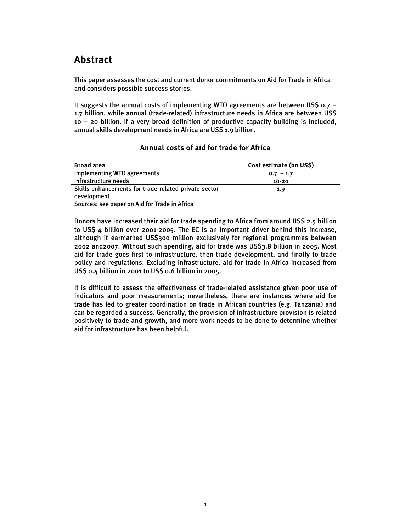# Abstract

This paper assesses the cost and current donor commitments on Aid for Trade in Africa and considers possible success stories.

It suggests the annual costs of implementing WTO agreements are between US\$  $0.7 -$ 1.7 billion, while annual (trade-related) infrastructure needs in Africa are between US\$ 10 – 20 billion. If a very broad definition of productive capacity building is included, annual skills development needs in Africa are US\$ 1.9 billion.

### Annual costs of aid for trade for Africa

| <b>Broad area</b>                                    | Cost estimate (bn US\$) |
|------------------------------------------------------|-------------------------|
| Implementing WTO agreements                          | $-1.7$<br>0.7           |
| Infrastructure needs                                 | $10 - 20$               |
| Skills enhancements for trade related private sector | 1.9                     |
| development                                          |                         |

Sources: see paper on Aid for Trade in Africa

Donors have increased their aid for trade spending to Africa from around US\$ 2.5 billion to US\$ 4 billion over 2001-2005. The EC is an important driver behind this increase, although it earmarked US\$300 million exclusively for regional programmes between 2002 and2007. Without such spending, aid for trade was US\$3.8 billion in 2005. Most aid for trade goes first to infrastructure, then trade development, and finally to trade policy and regulations. Excluding infrastructure, aid for trade in Africa increased from US\$ 0.4 billion in 2001 to US\$ 0.6 billion in 2005.

It is difficult to assess the effectiveness of trade-related assistance given poor use of indicators and poor measurements; nevertheless, there are instances where aid for trade has led to greater coordination on trade in African countries (e.g. Tanzania) and can be regarded a success. Generally, the provision of infrastructure provision is related positively to trade and growth, and more work needs to be done to determine whether aid for infrastructure has been helpful.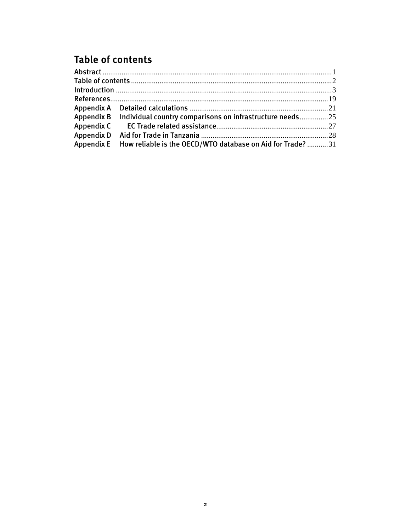# **Table of contents**

| Appendix B Individual country comparisons on infrastructure needs25   |  |
|-----------------------------------------------------------------------|--|
|                                                                       |  |
|                                                                       |  |
| Appendix E How reliable is the OECD/WTO database on Aid for Trade? 31 |  |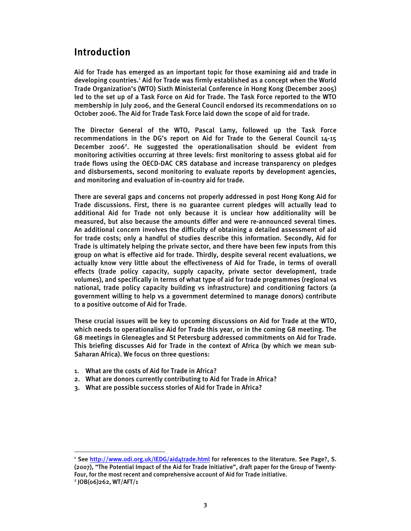# Introduction

Aid for Trade has emerged as an important topic for those examining aid and trade in developing countries.<sup>1</sup> Aid for Trade was firmly established as a concept when the World Trade Organization's (WTO) Sixth Ministerial Conference in Hong Kong (December 2005) led to the set up of a Task Force on Aid for Trade. The Task Force reported to the WTO membership in July 2006, and the General Council endorsed its recommendations on 10 October 2006. The Aid for Trade Task Force laid down the scope of aid for trade.

The Director General of the WTO, Pascal Lamy, followed up the Task Force recommendations in the DG's report on Aid for Trade to the General Council 14-15 December 2006<sup>2</sup>. He suggested the operationalisation should be evident from monitoring activities occurring at three levels: first monitoring to assess global aid for trade flows using the OECD-DAC CRS database and increase transparency on pledges and disbursements, second monitoring to evaluate reports by development agencies, and monitoring and evaluation of in-country aid for trade.

There are several gaps and concerns not properly addressed in post Hong Kong Aid for Trade discussions. First, there is no guarantee current pledges will actually lead to additional Aid for Trade not only because it is unclear how additionality will be measured, but also because the amounts differ and were re-announced several times. An additional concern involves the difficulty of obtaining a detailed assessment of aid for trade costs; only a handful of studies describe this information. Secondly, Aid for Trade is ultimately helping the private sector, and there have been few inputs from this group on what is effective aid for trade. Thirdly, despite several recent evaluations, we actually know very little about the effectiveness of Aid for Trade, in terms of overall effects (trade policy capacity, supply capacity, private sector development, trade volumes), and specifically in terms of what type of aid for trade programmes (regional vs national, trade policy capacity building vs infrastructure) and conditioning factors (a government willing to help vs a government determined to manage donors) contribute to a positive outcome of Aid for Trade.

These crucial issues will be key to upcoming discussions on Aid for Trade at the WTO, which needs to operationalise Aid for Trade this year, or in the coming G8 meeting. The G8 meetings in Gleneagles and St Petersburg addressed commitments on Aid for Trade. This briefing discusses Aid for Trade in the context of Africa (by which we mean sub-Saharan Africa). We focus on three questions:

- 1. What are the costs of Aid for Trade in Africa?
- 2. What are donors currently contributing to Aid for Trade in Africa?
- 3. What are possible success stories of Aid for Trade in Africa?

<sup>&</sup>lt;sup>1</sup> See http://www.odi.org.uk/IEDG/aid4trade.html for references to the literature. See Page?, S. (2007), "The Potential Impact of the Aid for Trade Initiative", draft paper for the Group of Twenty-Four, for the most recent and comprehensive account of Aid for Trade initiative.

<sup>2</sup> JOB(06)262, WT/AFT/1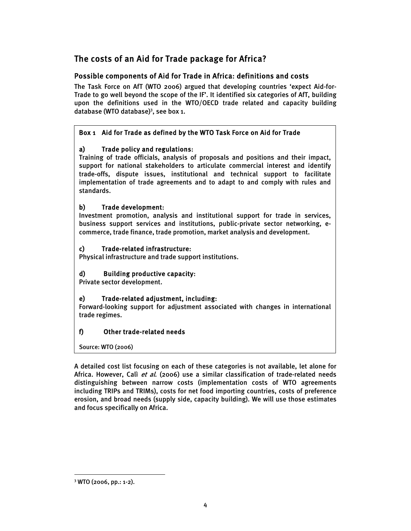# The costs of an Aid for Trade package for Africa?

### Possible components of Aid for Trade in Africa: definitions and costs

The Task Force on AfT (WTO 2006) argued that developing countries 'expect Aid-for-Trade to go well beyond the scope of the IF'. It identified six categories of AfT, building upon the definitions used in the WTO/OECD trade related and capacity building database (WTO database)<sup>3</sup>, see box 1.

### Box 1 Aid for Trade as defined by the WTO Task Force on Aid for Trade

### a) Trade policy and regulations:

Training of trade officials, analysis of proposals and positions and their impact, support for national stakeholders to articulate commercial interest and identify trade-offs, dispute issues, institutional and technical support to facilitate implementation of trade agreements and to adapt to and comply with rules and standards.

### b) Trade development:

Investment promotion, analysis and institutional support for trade in services, business support services and institutions, public-private sector networking, ecommerce, trade finance, trade promotion, market analysis and development.

### c) Trade-related infrastructure:

Physical infrastructure and trade support institutions.

### d) Building productive capacity:

Private sector development.

### e) Trade-related adjustment, including:

Forward-looking support for adjustment associated with changes in international trade regimes.

### f) Other trade-related needs

Source: WTO (2006)

A detailed cost list focusing on each of these categories is not available, let alone for Africa. However, Calì et al. (2006) use a similar classification of trade-related needs distinguishing between narrow costs (implementation costs of WTO agreements including TRIPs and TRIMs), costs for net food importing countries, costs of preference erosion, and broad needs (supply side, capacity building). We will use those estimates and focus specifically on Africa.

 $\overline{a}$ 3 WTO (2006, pp.: 1-2).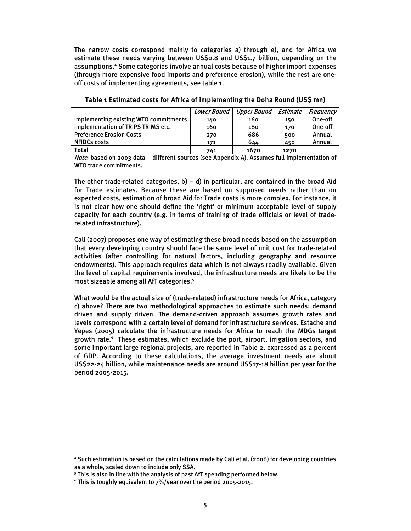The narrow costs correspond mainly to categories a) through e), and for Africa we estimate these needs varying between US\$0.8 and US\$1.7 billion, depending on the assumptions.4 Some categories involve annual costs because of higher import expenses (through more expensive food imports and preference erosion), while the rest are oneoff costs of implementing agreements, see table 1.

|                                       | <b>Lower Bound</b> | Upper Bound | Estimate | Frequency |
|---------------------------------------|--------------------|-------------|----------|-----------|
| Implementing existing WTO commitments | 140                | 160         | 150      | One-off   |
| Implementation of TRIPS TRIMS etc.    | 160                | 180         | 170      | One-off   |
| <b>Preference Erosion Costs</b>       | 270                | 686         | 500      | Annual    |
| <b>NFIDCs costs</b>                   | 171                | 644         | 450      | Annual    |
| Total                                 | 741                | 1670        | 1270     |           |

#### Table 1 Estimated costs for Africa of implementing the Doha Round (US\$ mn)

Note: based on 2003 data – different sources (see Appendix A). Assumes full implementation of WTO trade commitments.

The other trade-related categories,  $b$ ) – d) in particular, are contained in the broad Aid for Trade estimates. Because these are based on supposed needs rather than on expected costs, estimation of broad Aid for Trade costs is more complex. For instance, it is not clear how one should define the 'right' or minimum acceptable level of supply capacity for each country (e.g. in terms of training of trade officials or level of traderelated infrastructure).

Calì (2007) proposes one way of estimating these broad needs based on the assumption that every developing country should face the same level of unit cost for trade-related activities (after controlling for natural factors, including geography and resource endowments). This approach requires data which is not always readily available. Given the level of capital requirements involved, the infrastructure needs are likely to be the most sizeable among all AfT categories.<sup>5</sup>

What would be the actual size of (trade-related) infrastructure needs for Africa, category c) above? There are two methodological approaches to estimate such needs: demand driven and supply driven. The demand-driven approach assumes growth rates and levels correspond with a certain level of demand for infrastructure services. Estache and Yepes (2005) calculate the infrastructure needs for Africa to reach the MDGs target growth rate.<sup>6</sup> These estimates, which exclude the port, airport, irrigation sectors, and some important large regional projects, are reported in Table 2, expressed as a percent of GDP. According to these calculations, the average investment needs are about US\$22-24 billion, while maintenance needs are around US\$17-18 billion per year for the period 2005-2015.

<sup>4</sup> Such estimation is based on the calculations made by Calì et al. (2006) for developing countries as a whole, scaled down to include only SSA.

<sup>&</sup>lt;sup>5</sup> This is also in line with the analysis of past AfT spending performed below.

 $^6$  This is toughly equivalent to 7%/year over the period 2005-2015.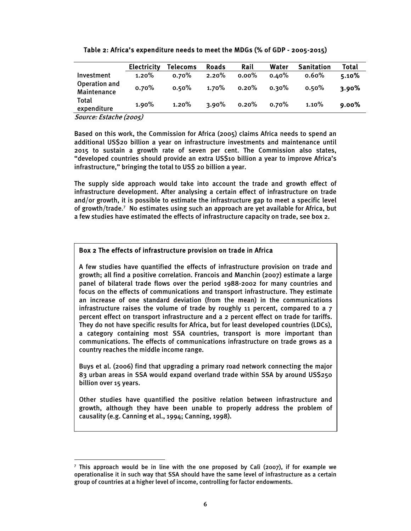| Table 2: Africa's expenditure needs to meet the MDGs (% of GDP - 2005-2015) |  |  |
|-----------------------------------------------------------------------------|--|--|
|-----------------------------------------------------------------------------|--|--|

|                                     | <b>Electricity</b> | <b>Telecoms</b> | <b>Roads</b> | Rail     | Water    | <b>Sanitation</b> | <b>Total</b> |
|-------------------------------------|--------------------|-----------------|--------------|----------|----------|-------------------|--------------|
| Investment                          | 1.20%              | $0.70\%$        | 2.20%        | $0.00\%$ | $0.40\%$ | $0.60\%$          | 5.10%        |
| Operation and<br><b>Maintenance</b> | 0.70%              | 0.50%           | $1.70\%$     | 0.20%    | $0.30\%$ | 0.50%             | 3.90%        |
| Total<br>expenditure                | 1.90%              | 1.20%           | $3.90\%$     | 0.20%    | $0.70\%$ | 1.10%             | $9.00\%$     |

Source: Estache (2005)

 $\overline{a}$ 

Based on this work, the Commission for Africa (2005) claims Africa needs to spend an additional US\$20 billion a year on infrastructure investments and maintenance until 2015 to sustain a growth rate of seven per cent. The Commission also states, "developed countries should provide an extra US\$10 billion a year to improve Africa's infrastructure," bringing the total to US\$ 20 billion a year.

The supply side approach would take into account the trade and growth effect of infrastructure development. After analysing a certain effect of infrastructure on trade and/or growth, it is possible to estimate the infrastructure gap to meet a specific level of growth/trade.<sup>7</sup> No estimates using such an approach are yet available for Africa, but a few studies have estimated the effects of infrastructure capacity on trade, see box 2.

### Box 2 The effects of infrastructure provision on trade in Africa

A few studies have quantified the effects of infrastructure provision on trade and growth; all find a positive correlation. Francois and Manchin (2007) estimate a large panel of bilateral trade flows over the period 1988-2002 for many countries and focus on the effects of communications and transport infrastructure. They estimate an increase of one standard deviation (from the mean) in the communications infrastructure raises the volume of trade by roughly 11 percent, compared to a  $7$ percent effect on transport infrastructure and a 2 percent effect on trade for tariffs. They do not have specific results for Africa, but for least developed countries (LDCs), a category containing most SSA countries, transport is more important than communications. The effects of communications infrastructure on trade grows as a country reaches the middle income range.

Buys et al. (2006) find that upgrading a primary road network connecting the major 83 urban areas in SSA would expand overland trade within SSA by around US\$250 billion over 15 years.

Other studies have quantified the positive relation between infrastructure and growth, although they have been unable to properly address the problem of causality (e.g. Canning et al., 1994; Canning, 1998).

<sup>7</sup> This approach would be in line with the one proposed by Calì (2007), if for example we operationalise it in such way that SSA should have the same level of infrastructure as a certain group of countries at a higher level of income, controlling for factor endowments.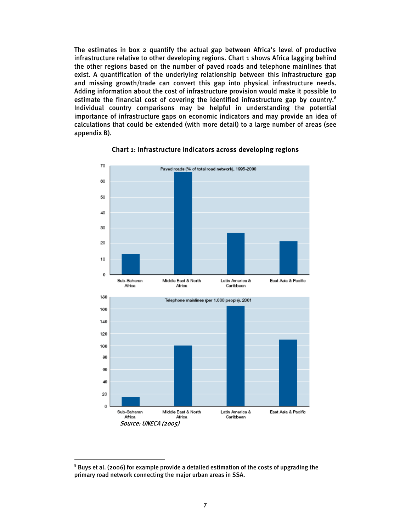The estimates in box 2 quantify the actual gap between Africa's level of productive infrastructure relative to other developing regions. Chart 1 shows Africa lagging behind the other regions based on the number of paved roads and telephone mainlines that exist. A quantification of the underlying relationship between this infrastructure gap and missing growth/trade can convert this gap into physical infrastructure needs. Adding information about the cost of infrastructure provision would make it possible to estimate the financial cost of covering the identified infrastructure gap by country.<sup>8</sup> Individual country comparisons may be helpful in understanding the potential importance of infrastructure gaps on economic indicators and may provide an idea of calculations that could be extended (with more detail) to a large number of areas (see appendix B).



### Chart 1: Infrastructure indicators across developing regions

 $^8$  Buys et al. (2006) for example provide a detailed estimation of the costs of upgrading the primary road network connecting the major urban areas in SSA.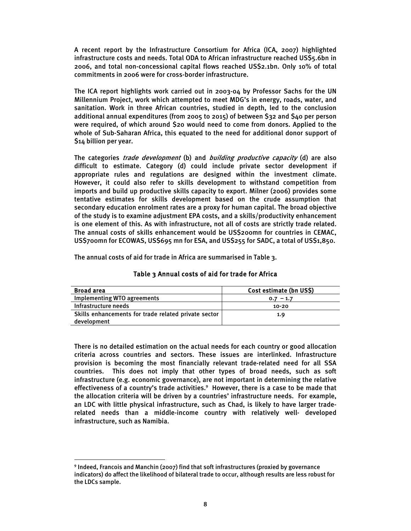A recent report by the Infrastructure Consortium for Africa (ICA, 2007) highlighted infrastructure costs and needs. Total ODA to African infrastructure reached US\$5.6bn in 2006, and total non-concessional capital flows reached US\$2.1bn. Only 10% of total commitments in 2006 were for cross-border infrastructure.

The ICA report highlights work carried out in 2003-04 by Professor Sachs for the UN Millennium Project, work which attempted to meet MDG's in energy, roads, water, and sanitation. Work in three African countries, studied in depth, led to the conclusion additional annual expenditures (from 2005 to 2015) of between \$32 and \$40 per person were required, of which around \$20 would need to come from donors. Applied to the whole of Sub-Saharan Africa, this equated to the need for additional donor support of \$14 billion per year.

The categories *trade development* (b) and *building productive capacity* (d) are also difficult to estimate. Category (d) could include private sector development if appropriate rules and regulations are designed within the investment climate. However, it could also refer to skills development to withstand competition from imports and build up productive skills capacity to export. Milner (2006) provides some tentative estimates for skills development based on the crude assumption that secondary education enrolment rates are a proxy for human capital. The broad objective of the study is to examine adjustment EPA costs, and a skills/productivity enhancement is one element of this. As with infrastructure, not all of costs are strictly trade related. The annual costs of skills enhancement would be US\$200mn for countries in CEMAC, US\$700mn for ECOWAS, US\$695 mn for ESA, and US\$255 for SADC, a total of US\$1,850.

The annual costs of aid for trade in Africa are summarised in Table 3.

| <b>Broad area</b>                                    | Cost estimate (bn US\$) |
|------------------------------------------------------|-------------------------|
| Implementing WTO agreements                          | $0.7 - 1.7$             |
| Infrastructure needs                                 | $10 - 20$               |
| Skills enhancements for trade related private sector | 1.9                     |
| development                                          |                         |

#### Table 3 Annual costs of aid for trade for Africa

There is no detailed estimation on the actual needs for each country or good allocation criteria across countries and sectors. These issues are interlinked. Infrastructure provision is becoming the most financially relevant trade-related need for all SSA countries. This does not imply that other types of broad needs, such as soft infrastructure (e.g. economic governance), are not important in determining the relative effectiveness of a country's trade activities.<sup>9</sup> However, there is a case to be made that the allocation criteria will be driven by a countries' infrastructure needs. For example, an LDC with little physical infrastructure, such as Chad, is likely to have larger traderelated needs than a middle-income country with relatively well- developed infrastructure, such as Namibia.

<sup>9</sup> Indeed, Francois and Manchin (2007) find that soft infrastructures (proxied by governance indicators) do affect the likelihood of bilateral trade to occur, although results are less robust for the LDCs sample.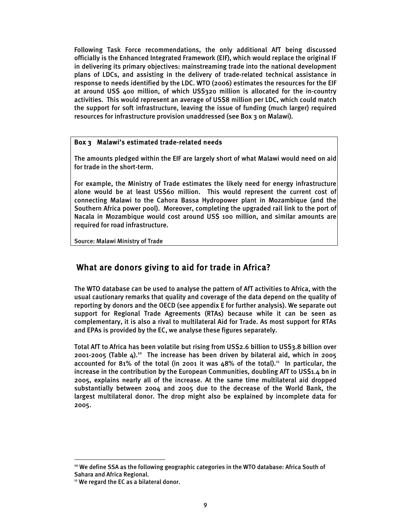Following Task Force recommendations, the only additional AfT being discussed officially is the Enhanced Integrated Framework (EIF), which would replace the original IF in delivering its primary objectives: mainstreaming trade into the national development plans of LDCs, and assisting in the delivery of trade-related technical assistance in response to needs identified by the LDC. WTO (2006) estimates the resources for the EIF at around US\$ 400 million, of which US\$320 million is allocated for the in-country activities. This would represent an average of US\$8 million per LDC, which could match the support for soft infrastructure, leaving the issue of funding (much larger) required resources for infrastructure provision unaddressed (see Box 3 on Malawi).

### Box 3 Malawi's estimated trade-related needs

The amounts pledged within the EIF are largely short of what Malawi would need on aid for trade in the short-term.

For example, the Ministry of Trade estimates the likely need for energy infrastructure alone would be at least US\$60 million. This would represent the current cost of connecting Malawi to the Cahora Bassa Hydropower plant in Mozambique (and the Southern Africa power pool). Moreover, completing the upgraded rail link to the port of Nacala in Mozambique would cost around US\$ 100 million, and similar amounts are required for road infrastructure.

Source: Malawi Ministry of Trade

## What are donors giving to aid for trade in Africa?

The WTO database can be used to analyse the pattern of AfT activities to Africa, with the usual cautionary remarks that quality and coverage of the data depend on the quality of reporting by donors and the OECD (see appendix E for further analysis). We separate out support for Regional Trade Agreements (RTAs) because while it can be seen as complementary, it is also a rival to multilateral Aid for Trade. As most support for RTAs and EPAs is provided by the EC, we analyse these figures separately.

Total AfT to Africa has been volatile but rising from US\$2.6 billion to US\$3.8 billion over  $2001-2005$  (Table 4).<sup>10</sup> The increase has been driven by bilateral aid, which in  $2005$ accounted for 81% of the total (in 2001 it was  $48\%$  of the total).<sup>11</sup> In particular, the increase in the contribution by the European Communities, doubling AfT to US\$1.4 bn in 2005, explains nearly all of the increase. At the same time multilateral aid dropped substantially between 2004 and 2005 due to the decrease of the World Bank, the largest multilateral donor. The drop might also be explained by incomplete data for 2005.

<sup>&</sup>lt;sup>10</sup> We define SSA as the following geographic categories in the WTO database: Africa South of Sahara and Africa Regional.

<sup>&</sup>lt;sup>11</sup> We regard the EC as a bilateral donor.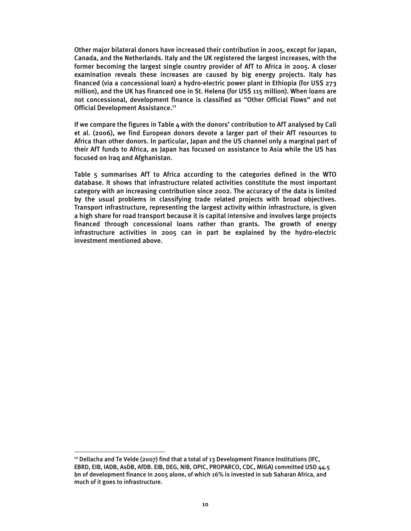Other major bilateral donors have increased their contribution in 2005, except for Japan, Canada, and the Netherlands. Italy and the UK registered the largest increases, with the former becoming the largest single country provider of AfT to Africa in 2005. A closer examination reveals these increases are caused by big energy projects. Italy has financed (via a concessional loan) a hydro-electric power plant in Ethiopia (for US\$ 273 million), and the UK has financed one in St. Helena (for US\$ 115 million). When loans are not concessional, development finance is classified as "Other Official Flows" and not Official Development Assistance.<sup>12</sup>

If we compare the figures in Table 4 with the donors' contribution to AfT analysed by Calì et al. (2006), we find European donors devote a larger part of their AfT resources to Africa than other donors. In particular, Japan and the US channel only a marginal part of their AfT funds to Africa, as Japan has focused on assistance to Asia while the US has focused on Iraq and Afghanistan.

Table 5 summarises AfT to Africa according to the categories defined in the WTO database. It shows that infrastructure related activities constitute the most important category with an increasing contribution since 2002. The accuracy of the data is limited by the usual problems in classifying trade related projects with broad objectives. Transport infrastructure, representing the largest activity within infrastructure, is given a high share for road transport because it is capital intensive and involves large projects financed through concessional loans rather than grants. The growth of energy infrastructure activities in 2005 can in part be explained by the hydro-electric investment mentioned above.

 $12$  Dellacha and Te Velde (2007) find that a total of 13 Development Finance Institutions (IFC, EBRD, EIB, IADB, AsDB, AfDB. EIB, DEG, NIB, OPIC, PROPARCO, CDC, MIGA) committed USD 44.5 bn of development finance in 2005 alone, of which 16% is invested in sub Saharan Africa, and much of it goes to infrastructure.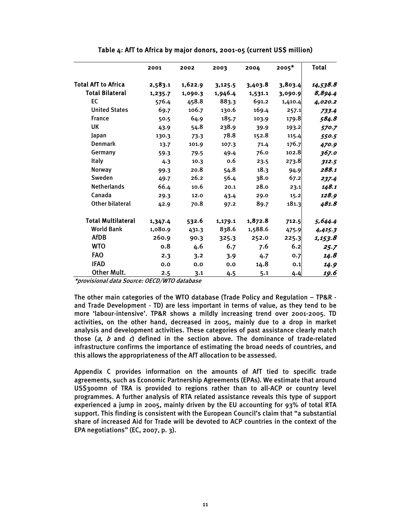|                            | 2001    | 2002    | 2003    | 2004    | $2005*$ | <b>Total</b> |
|----------------------------|---------|---------|---------|---------|---------|--------------|
| <b>Total AfT to Africa</b> | 2,583.1 | 1,622.9 | 3,125.5 | 3,403.8 | 3,803.4 | 14,538.8     |
| <b>Total Bilateral</b>     | 1,235.7 | 1,090.3 | 1,946.4 | 1,531.1 | 3,090.9 | 8,894.4      |
| <b>EC</b>                  | 576.4   | 458.8   | 883.3   | 691.2   | 1,410.4 | 4,020.2      |
| <b>United States</b>       | 69.7    | 106.7   | 130.6   | 169.4   | 257.1   | 733.4        |
| <b>France</b>              | 50.5    | 64.9    | 185.7   | 103.9   | 179.8   | 584.8        |
| <b>UK</b>                  | 43.9    | 54.8    | 238.9   | 39.9    | 193.2   | 570.7        |
| Japan                      | 130.3   | 73.3    | 78.8    | 152.8   | 115.4   | 550.5        |
| <b>Denmark</b>             | 13.7    | 101.9   | 107.3   | 71.4    | 176.7   | 470.9        |
| Germany                    | 59.3    | 79.5    | 49.4    | 76.0    | 102.8   | 367.0        |
| <b>Italy</b>               | 4.3     | 10.3    | 0.6     | 23.5    | 273.8   | 312.5        |
| <b>Norway</b>              | 99.3    | 20.8    | 54.8    | 18.3    | 94.9    | 288.1        |
| Sweden                     | 49.7    | 26.2    | 56.4    | 38.0    | 67.2    | 237.4        |
| <b>Netherlands</b>         | 66.4    | 10.6    | 20.1    | 28.0    | 23.1    | 148.1        |
| Canada                     | 29.3    | 12.0    | 43.4    | 29.0    | 15.2    | 128.9        |
| <b>Other bilateral</b>     | 42.9    | 70.8    | 97.2    | 89.7    | 181.3   | 481.8        |
| <b>Total Multilateral</b>  | 1,347.4 | 532.6   | 1,179.1 | 1,872.8 | 712.5   | 5,644.4      |
| <b>World Bank</b>          | 1,080.9 | 431.3   | 838.6   | 1,588.6 | 475.9   | 4,415.3      |
| <b>AfDB</b>                | 260.9   | 90.3    | 325.3   | 252.0   | 225.3   | 1,153.8      |
| <b>WTO</b>                 | 0.8     | 4.6     | 6.7     | 7.6     | 6.2     | 25.7         |
| <b>FAO</b>                 | 2.3     | 3.2     | 3.9     | 4.7     | 0.7     | 14.8         |
| <b>IFAD</b>                | 0.0     | 0.0     | 0.0     | 14.8    | 0.1     | 14.9         |
| <b>Other Mult.</b>         | 2.5     | 3.1     | 4.5     | 5.1     | 4.4     | 19.6         |

#### Table 4: AfT to Africa by major donors, 2001-05 (current US\$ million)

\*provisional data Source: OECD/WTO database

The other main categories of the WTO database (Trade Policy and Regulation – TP&R and Trade Development - TD) are less important in terms of value, as they tend to be more 'labour-intensive'. TP&R shows a mildly increasing trend over 2001-2005. TD activities, on the other hand, decreased in 2005, mainly due to a drop in market analysis and development activities. These categories of past assistance clearly match those  $(a, b$  and c) defined in the section above. The dominance of trade-related infrastructure confirms the importance of estimating the broad needs of countries, and this allows the appropriateness of the AfT allocation to be assessed.

Appendix C provides information on the amounts of AfT tied to specific trade agreements, such as Economic Partnership Agreements (EPAs). We estimate that around US\$300mn of TRA is provided to regions rather than to all-ACP or country level programmes. A further analysis of RTA related assistance reveals this type of support experienced a jump in 2005, mainly driven by the EU accounting for 93% of total RTA support. This finding is consistent with the European Council's claim that "a substantial share of increased Aid for Trade will be devoted to ACP countries in the context of the EPA negotiations" (EC, 2007, p. 3).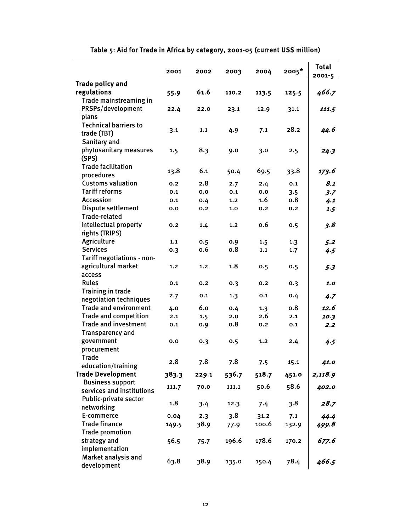|                              | 2001  | 2002  | 2003             | 2004  | $2005*$ | <b>Total</b> |
|------------------------------|-------|-------|------------------|-------|---------|--------------|
| <b>Trade policy and</b>      |       |       |                  |       |         | $2001 - 5$   |
| regulations                  | 55.9  | 61.6  | 110.2            | 113.5 | 125.5   | 466.7        |
| Trade mainstreaming in       |       |       |                  |       |         |              |
| PRSPs/development            | 22.4  | 22.0  | 23.1             | 12.9  | 31.1    | 111.5        |
| plans                        |       |       |                  |       |         |              |
| <b>Technical barriers to</b> |       |       |                  |       |         |              |
| trade (TBT)                  | 3.1   | 1.1   | 4.9              | 7.1   | 28.2    | 44.6         |
| Sanitary and                 |       |       |                  |       |         |              |
| phytosanitary measures       | 1.5   | 8.3   | 9.0              | 3.0   | 2.5     | 24.3         |
| (SPS)                        |       |       |                  |       |         |              |
| <b>Trade facilitation</b>    |       |       |                  |       |         |              |
| procedures                   | 13.8  | 6.1   | 50.4             | 69.5  | 33.8    | 173.6        |
| <b>Customs valuation</b>     | 0.2   | 2.8   | 2.7              | 2.4   | 0.1     | 8.1          |
| <b>Tariff reforms</b>        | 0.1   | 0.0   | 0.1              | 0.0   | 3.5     | 3.7          |
| <b>Accession</b>             | 0.1   | 0.4   | 1.2 <sub>2</sub> | 1.6   | 0.8     | 4.1          |
| Dispute settlement           | 0.0   | 0.2   | 1,0              | 0.2   | 0.2     | 1.5          |
| <b>Trade-related</b>         |       |       |                  |       |         |              |
| intellectual property        | 0.2   | 1.4   | 1,2              | 0.6   | 0.5     | 3.8          |
| rights (TRIPS)               |       |       |                  |       |         |              |
| Agriculture                  | 1.1   | 0.5   | 0.9              | 1.5   | 1.3     | 5.2          |
| <b>Services</b>              | 0.3   | 0.6   | 0.8              | 1.1   | 1.7     | 4.5          |
| Tariff negotiations - non-   |       |       |                  |       |         |              |
| agricultural market          | 1.2   | 1.2   | 1.8              | 0.5   | 0.5     | 5.3          |
| access                       |       |       |                  |       |         |              |
| <b>Rules</b>                 | 0.1   | 0.2   | 0.3              | 0.2   | 0.3     | 1.0          |
| Training in trade            |       |       |                  |       |         |              |
| negotiation techniques       | 2.7   | 0.1   | 1.3              | 0.1   | 0.4     | 4.7          |
| <b>Trade and environment</b> | 4.0   | 6.0   | 0.4              | 1.3   | 0.8     | 12.6         |
| <b>Trade and competition</b> | 2.1   | 1.5   | 2.0              | 2.6   | 2.1     | 10.3         |
| <b>Trade and investment</b>  | 0.1   | 0.9   | 0.8              | 0.2   | 0.1     | 2.2          |
| <b>Transparency and</b>      |       |       |                  |       |         |              |
| government                   | 0.0   | 0.3   | 0.5              | 1,2   | 2.4     | 4.5          |
| procurement                  |       |       |                  |       |         |              |
| <b>Trade</b>                 | 2.8   | 7.8   | 7.8              |       | 15.1    |              |
| education/training           |       |       |                  | 7.5   |         | 41.0         |
| <b>Trade Development</b>     | 383.3 | 229.1 | 536.7            | 518.7 | 451.0   | 2,118.9      |
| <b>Business support</b>      | 111.7 | 70.0  | 111.1            | 50.6  | 58.6    | 402.0        |
| services and institutions    |       |       |                  |       |         |              |
| <b>Public-private sector</b> | 1.8   | 3.4   | 12.3             | 7.4   | 3.8     | 28.7         |
| networking                   |       |       |                  |       |         |              |
| E-commerce                   | 0.04  | 2.3   | 3.8              | 31.2  | 7.1     | 44.4         |
| <b>Trade finance</b>         | 149.5 | 38.9  | 77.9             | 100.6 | 132.9   | 499.8        |
| <b>Trade promotion</b>       |       |       |                  |       |         |              |
| strategy and                 | 56.5  | 75.7  | 196.6            | 178.6 | 170.2   | 677.6        |
| implementation               |       |       |                  |       |         |              |
| Market analysis and          | 63.8  | 38.9  | 135.0            | 150.4 | 78.4    | 466.5        |
| development                  |       |       |                  |       |         |              |

# Table 5: Aid for Trade in Africa by category, 2001-05 (current US\$ million)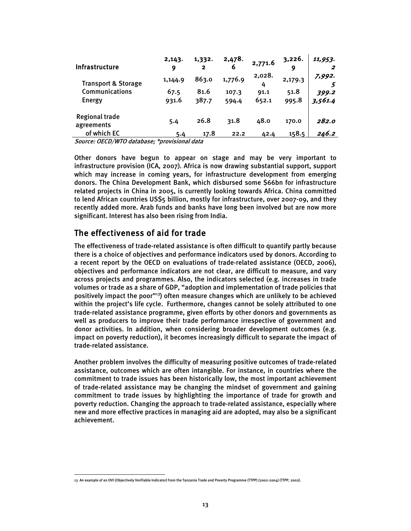| <b>Infrastructure</b>               | 2,143.<br>9 | 1,332.<br>$\mathbf{2}$ | 2,478.<br>ь | 2,771.6     | 3,226.<br>9 | 11,953. |
|-------------------------------------|-------------|------------------------|-------------|-------------|-------------|---------|
| <b>Transport &amp; Storage</b>      | 1,144.9     | 863.0                  | 1,776.9     | 2,028.<br>4 | 2,179.3     | 7,992.  |
| Communications                      | 67.5        | 81.6                   | 107.3       | 91.1        | 51.8        | 399.2   |
| Energy                              | 931.6       | 387.7                  | 594.4       | 652.1       | 995.8       | 3,561.4 |
| <b>Regional trade</b><br>agreements | 5.4         | 26.8                   | 31.8        | 48.0        | 170.0       | 282.0   |
| of which EC                         | 5.4         | 17.8                   | 22.2        | 42.4        | 158.5       | 246.2   |

Source: OECD/WTO database; \*provisional data

Other donors have begun to appear on stage and may be very important to infrastructure provision (ICA, 2007). Africa is now drawing substantial support, support which may increase in coming years, for infrastructure development from emerging donors. The China Development Bank, which disbursed some \$66bn for infrastructure related projects in China in 2005, is currently looking towards Africa. China committed to lend African countries US\$5 billion, mostly for infrastructure, over 2007-09, and they recently added more. Arab funds and banks have long been involved but are now more significant. Interest has also been rising from India.

## The effectiveness of aid for trade

The effectiveness of trade-related assistance is often difficult to quantify partly because there is a choice of objectives and performance indicators used by donors. According to a recent report by the OECD on evaluations of trade-related assistance (OECD, 2006), objectives and performance indicators are not clear, are difficult to measure, and vary across projects and programmes. Also, the indicators selected (e.g. increases in trade volumes or trade as a share of GDP, "adoption and implementation of trade policies that positively impact the poor"13) often measure changes which are unlikely to be achieved within the project's life cycle. Furthermore, changes cannot be solely attributed to one trade-related assistance programme, given efforts by other donors and governments as well as producers to improve their trade performance irrespective of government and donor activities. In addition, when considering broader development outcomes (e.g. impact on poverty reduction), it becomes increasingly difficult to separate the impact of trade-related assistance.

Another problem involves the difficulty of measuring positive outcomes of trade-related assistance, outcomes which are often intangible. For instance, in countries where the commitment to trade issues has been historically low, the most important achievement of trade-related assistance may be changing the mindset of government and gaining commitment to trade issues by highlighting the importance of trade for growth and poverty reduction. Changing the approach to trade-related assistance, especially where new and more effective practices in managing aid are adopted, may also be a significant achievement.

 $\overline{a}$ 13 An example of an OVI (Objectively Verifiable Indicator) from the Tanzania Trade and Poverty Programme (TTPP) (2002-2004) (TTPP, 2002).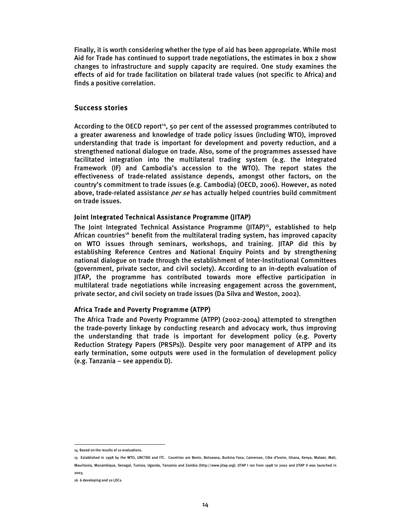Finally, it is worth considering whether the type of aid has been appropriate. While most Aid for Trade has continued to support trade negotiations, the estimates in box 2 show changes to infrastructure and supply capacity are required. One study examines the effects of aid for trade facilitation on bilateral trade values (not specific to Africa) and finds a positive correlation.

### Success stories

According to the OECD report<sup>14</sup>, 50 per cent of the assessed programmes contributed to a greater awareness and knowledge of trade policy issues (including WTO), improved understanding that trade is important for development and poverty reduction, and a strengthened national dialogue on trade. Also, some of the programmes assessed have facilitated integration into the multilateral trading system (e.g. the Integrated Framework (IF) and Cambodia's accession to the WTO). The report states the effectiveness of trade-related assistance depends, amongst other factors, on the country's commitment to trade issues (e.g. Cambodia) (OECD, 2006). However, as noted above, trade-related assistance *per se* has actually helped countries build commitment on trade issues.

#### Joint Integrated Technical Assistance Programme (JITAP)

The Joint Integrated Technical Assistance Programme (JITAP)<sup>15</sup>, established to help African countries<sup>16</sup> benefit from the multilateral trading system, has improved capacity on WTO issues through seminars, workshops, and training. JITAP did this by establishing Reference Centres and National Enquiry Points and by strengthening national dialogue on trade through the establishment of Inter-Institutional Committees (government, private sector, and civil society). According to an in-depth evaluation of JITAP, the programme has contributed towards more effective participation in multilateral trade negotiations while increasing engagement across the government, private sector, and civil society on trade issues (Da Silva and Weston, 2002).

#### Africa Trade and Poverty Programme (ATPP)

The Africa Trade and Poverty Programme (ATPP) (2002-2004) attempted to strengthen the trade-poverty linkage by conducting research and advocacy work, thus improving the understanding that trade is important for development policy (e.g. Poverty Reduction Strategy Papers (PRSPs)). Despite very poor management of ATPP and its early termination, some outputs were used in the formulation of development policy (e.g. Tanzania – see appendix D).

 $\overline{a}$ 14 Based on the results of 10 evaluations.

<sup>15</sup> Established in 1998 by the WTO, UNCTAD and ITC. Countries are Benin, Botswana, Burkina Faso, Cameroon, Côte d'Ivoire, Ghana, Kenya, Malawi, Mali,

Mauritania, Mozambique, Senegal, Tunisia, Uganda, Tanzania and Zambia (http://www.jitap.org). JITAP I ran from 1998 to 2002 and JITAP II was launched in 2003.

<sup>16 6</sup> developing and 10 LDCs.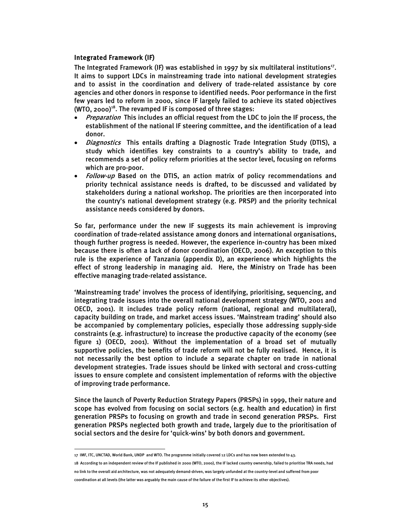### Integrated Framework (IF)

The Integrated Framework (IF) was established in 1997 by six multilateral institutions<sup>17</sup>. It aims to support LDCs in mainstreaming trade into national development strategies and to assist in the coordination and delivery of trade-related assistance by core agencies and other donors in response to identified needs. Poor performance in the first few years led to reform in 2000, since IF largely failed to achieve its stated objectives  $(WTO, 2000)^{18}$ . The revamped IF is composed of three stages:

- Preparation This includes an official request from the LDC to join the IF process, the establishment of the national IF steering committee, and the identification of a lead donor.
- *Diagnostics* This entails drafting a Diagnostic Trade Integration Study (DTIS), a study which identifies key constraints to a country's ability to trade, and recommends a set of policy reform priorities at the sector level, focusing on reforms which are pro-poor.
- Follow-up Based on the DTIS, an action matrix of policy recommendations and priority technical assistance needs is drafted, to be discussed and validated by stakeholders during a national workshop. The priorities are then incorporated into the country's national development strategy (e.g. PRSP) and the priority technical assistance needs considered by donors.

So far, performance under the new IF suggests its main achievement is improving coordination of trade-related assistance among donors and international organisations, though further progress is needed. However, the experience in-country has been mixed because there is often a lack of donor coordination (OECD, 2006). An exception to this rule is the experience of Tanzania (appendix D), an experience which highlights the effect of strong leadership in managing aid. Here, the Ministry on Trade has been effective managing trade-related assistance.

'Mainstreaming trade' involves the process of identifying, prioritising, sequencing, and integrating trade issues into the overall national development strategy (WTO, 2001 and OECD, 2001). It includes trade policy reform (national, regional and multilateral), capacity building on trade, and market access issues. 'Mainstream trading' should also be accompanied by complementary policies, especially those addressing supply-side constraints (e.g. infrastructure) to increase the productive capacity of the economy (see figure 1) (OECD, 2001). Without the implementation of a broad set of mutually supportive policies, the benefits of trade reform will not be fully realised. Hence, it is not necessarily the best option to include a separate chapter on trade in national development strategies. Trade issues should be linked with sectoral and cross-cutting issues to ensure complete and consistent implementation of reforms with the objective of improving trade performance.

Since the launch of Poverty Reduction Strategy Papers (PRSPs) in 1999, their nature and scope has evolved from focusing on social sectors (e.g. health and education) in first generation PRSPs to focusing on growth and trade in second generation PRSPs. First generation PRSPs neglected both growth and trade, largely due to the prioritisation of social sectors and the desire for 'quick-wins' by both donors and government.

 $\overline{a}$ 17 IMF, ITC, UNCTAD, World Bank, UNDP and WTO. The programme initially covered 12 LDCs and has now been extended to 43.

<sup>18</sup> According to an independent review of the IF published in 2000 (WTO, 2000), the IF lacked country ownership, failed to prioritise TRA needs, had no link to the overall aid architecture, was not adequately demand-driven, was largely unfunded at the country-level and suffered from poor coordination at all levels (the latter was arguably the main cause of the failure of the first IF to achieve its other objectives).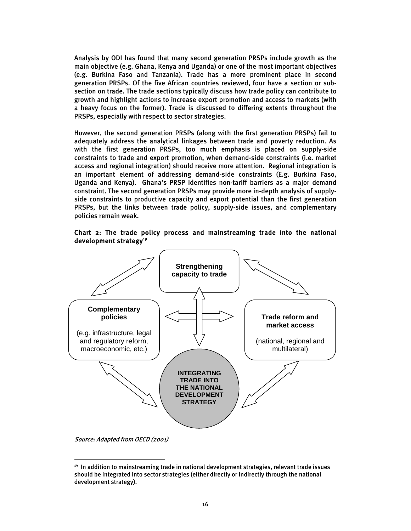Analysis by ODI has found that many second generation PRSPs include growth as the main objective (e.g. Ghana, Kenya and Uganda) or one of the most important objectives (e.g. Burkina Faso and Tanzania). Trade has a more prominent place in second generation PRSPs. Of the five African countries reviewed, four have a section or subsection on trade. The trade sections typically discuss how trade policy can contribute to growth and highlight actions to increase export promotion and access to markets (with a heavy focus on the former). Trade is discussed to differing extents throughout the PRSPs, especially with respect to sector strategies.

However, the second generation PRSPs (along with the first generation PRSPs) fail to adequately address the analytical linkages between trade and poverty reduction. As with the first generation PRSPs, too much emphasis is placed on supply-side constraints to trade and export promotion, when demand-side constraints (i.e. market access and regional integration) should receive more attention. Regional integration is an important element of addressing demand-side constraints (E.g. Burkina Faso, Uganda and Kenya). Ghana's PRSP identifies non-tariff barriers as a major demand constraint. The second generation PRSPs may provide more in-depth analysis of supplyside constraints to productive capacity and export potential than the first generation PRSPs, but the links between trade policy, supply-side issues, and complementary policies remain weak.





Source: Adapted from OECD (2001)

 $19$  In addition to mainstreaming trade in national development strategies, relevant trade issues should be integrated into sector strategies (either directly or indirectly through the national development strategy).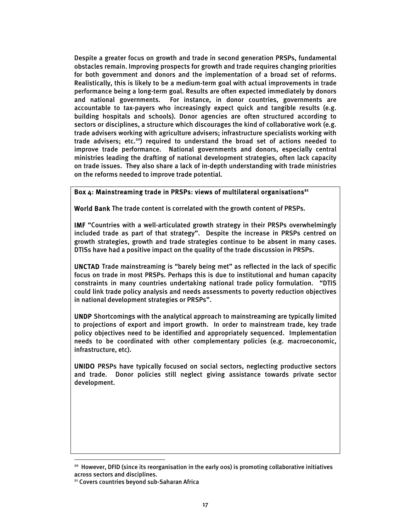Despite a greater focus on growth and trade in second generation PRSPs, fundamental obstacles remain. Improving prospects for growth and trade requires changing priorities for both government and donors and the implementation of a broad set of reforms. Realistically, this is likely to be a medium-term goal with actual improvements in trade performance being a long-term goal. Results are often expected immediately by donors and national governments. For instance, in donor countries, governments are accountable to tax-payers who increasingly expect quick and tangible results (e.g. building hospitals and schools). Donor agencies are often structured according to sectors or disciplines, a structure which discourages the kind of collaborative work (e.g. trade advisers working with agriculture advisers; infrastructure specialists working with trade advisers; etc.<sup>20</sup>) required to understand the broad set of actions needed to improve trade performance. National governments and donors, especially central ministries leading the drafting of national development strategies, often lack capacity on trade issues. They also share a lack of in-depth understanding with trade ministries on the reforms needed to improve trade potential.

### Box 4: Mainstreaming trade in PRSPs: views of multilateral organisations<sup>21</sup>

World Bank The trade content is correlated with the growth content of PRSPs.

IMF "Countries with a well-articulated growth strategy in their PRSPs overwhelmingly included trade as part of that strategy". Despite the increase in PRSPs centred on growth strategies, growth and trade strategies continue to be absent in many cases. DTISs have had a positive impact on the quality of the trade discussion in PRSPs.

UNCTAD Trade mainstreaming is "barely being met" as reflected in the lack of specific focus on trade in most PRSPs. Perhaps this is due to institutional and human capacity constraints in many countries undertaking national trade policy formulation. "DTIS could link trade policy analysis and needs assessments to poverty reduction objectives in national development strategies or PRSPs".

UNDP Shortcomings with the analytical approach to mainstreaming are typically limited to projections of export and import growth. In order to mainstream trade, key trade policy objectives need to be identified and appropriately sequenced. Implementation needs to be coordinated with other complementary policies (e.g. macroeconomic, infrastructure, etc).

UNIDO PRSPs have typically focused on social sectors, neglecting productive sectors and trade. Donor policies still neglect giving assistance towards private sector development.

<sup>&</sup>lt;sup>20</sup> However, DFID (since its reorganisation in the early 00s) is promoting collaborative initiatives across sectors and disciplines.

<sup>&</sup>lt;sup>21</sup> Covers countries beyond sub-Saharan Africa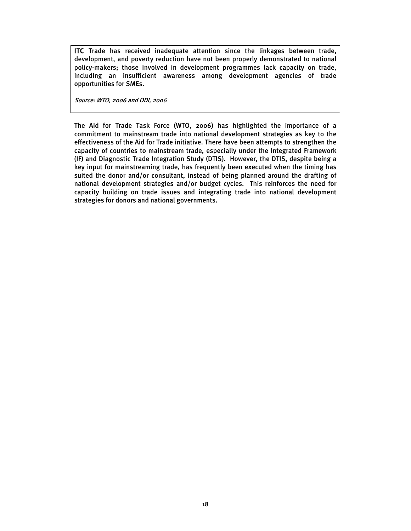ITC Trade has received inadequate attention since the linkages between trade, development, and poverty reduction have not been properly demonstrated to national policy-makers; those involved in development programmes lack capacity on trade, including an insufficient awareness among development agencies of trade opportunities for SMEs.

Source: WTO, 2006 and ODI, 2006

The Aid for Trade Task Force (WTO, 2006) has highlighted the importance of a commitment to mainstream trade into national development strategies as key to the effectiveness of the Aid for Trade initiative. There have been attempts to strengthen the capacity of countries to mainstream trade, especially under the Integrated Framework (IF) and Diagnostic Trade Integration Study (DTIS). However, the DTIS, despite being a key input for mainstreaming trade, has frequently been executed when the timing has suited the donor and/or consultant, instead of being planned around the drafting of national development strategies and/or budget cycles. This reinforces the need for capacity building on trade issues and integrating trade into national development strategies for donors and national governments.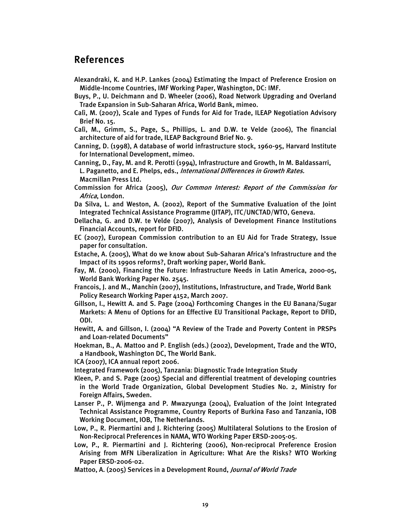## References

- Alexandraki, K. and H.P. Lankes (2004) Estimating the Impact of Preference Erosion on Middle-Income Countries, IMF Working Paper, Washington, DC: IMF.
- Buys, P., U. Deichmann and D. Wheeler (2006), Road Network Upgrading and Overland Trade Expansion in Sub-Saharan Africa, World Bank, mimeo.
- Calì, M. (2007), Scale and Types of Funds for Aid for Trade, ILEAP Negotiation Advisory Brief No. 15.

Calì, M., Grimm, S., Page, S., Phillips, L. and D.W. te Velde (2006), The financial architecture of aid for trade, ILEAP Background Brief No. 9.

Canning, D. (1998), A database of world infrastructure stock, 1960-95, Harvard Institute for International Development, mimeo.

Canning, D., Fay, M. and R. Perotti (1994), Infrastructure and Growth, In M. Baldassarri, L. Paganetto, and E. Phelps, eds., International Differences in Growth Rates. Macmillan Press Ltd.

- Commission for Africa (2005), Our Common Interest: Report of the Commission for Africa, London.
- Da Silva, L. and Weston, A. (2002), Report of the Summative Evaluation of the Joint Integrated Technical Assistance Programme (JITAP), ITC/UNCTAD/WTO, Geneva.
- Dellacha, G. and D.W. te Velde (2007), Analysis of Development Finance Institutions Financial Accounts, report for DFID.
- EC (2007), European Commission contribution to an EU Aid for Trade Strategy, Issue paper for consultation.
- Estache, A. (2005), What do we know about Sub-Saharan Africa's Infrastructure and the Impact of its 1990s reforms?, Draft working paper, World Bank.
- Fay, M. (2000), Financing the Future: Infrastructure Needs in Latin America, 2000-05, World Bank Working Paper No. 2545.
- Francois, J. and M., Manchin (2007), Institutions, Infrastructure, and Trade, World Bank Policy Research Working Paper 4152, March 2007.
- Gillson, I., Hewitt A. and S. Page (2004) Forthcoming Changes in the EU Banana/Sugar Markets: A Menu of Options for an Effective EU Transitional Package, Report to DFID, ODI.
- Hewitt, A. and Gillson, I. (2004) "A Review of the Trade and Poverty Content in PRSPs and Loan-related Documents"

Hoekman, B., A. Mattoo and P. English (eds.) (2002), Development, Trade and the WTO, a Handbook, Washington DC, The World Bank.

- ICA (2007), ICA annual report 2006.
- Integrated Framework (2005), Tanzania: Diagnostic Trade Integration Study
- Kleen, P. and S. Page (2005) Special and differential treatment of developing countries in the World Trade Organization, Global Development Studies No. 2, Ministry for Foreign Affairs, Sweden.
- Lanser P., P. Wijmenga and P. Mwazyunga (2004), Evaluation of the Joint Integrated Technical Assistance Programme, Country Reports of Burkina Faso and Tanzania, IOB Working Document, IOB, The Netherlands.
- Low, P., R. Piermartini and J. Richtering (2005) Multilateral Solutions to the Erosion of Non-Reciprocal Preferences in NAMA, WTO Working Paper ERSD-2005-05.
- Low, P., R. Piermartini and J. Richtering (2006), Non-reciprocal Preference Erosion Arising from MFN Liberalization in Agriculture: What Are the Risks? WTO Working Paper ERSD-2006-02.
- Mattoo, A. (2005) Services in a Development Round, Journal of World Trade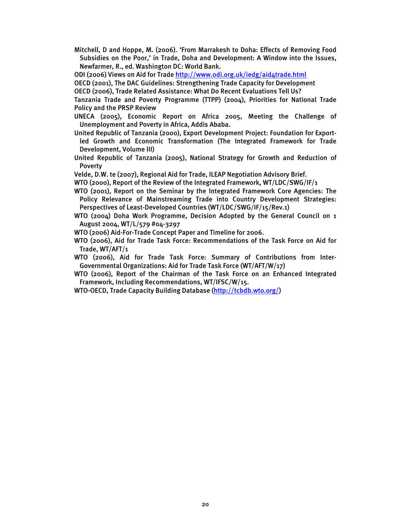- Mitchell, D and Hoppe, M. (2006). 'From Marrakesh to Doha: Effects of Removing Food Subsidies on the Poor,' in Trade, Doha and Development: A Window into the Issues, Newfarmer, R., ed. Washington DC: World Bank.
- ODI (2006) Views on Aid for Trade http://www.odi.org.uk/iedg/aid4trade.html
- OECD (2001), The DAC Guidelines: Strengthening Trade Capacity for Development
- OECD (2006), Trade Related Assistance: What Do Recent Evaluations Tell Us?

Tanzania Trade and Poverty Programme (TTPP) (2004), Priorities for National Trade Policy and the PRSP Review

- UNECA (2005), Economic Report on Africa 2005, Meeting the Challenge of Unemployment and Poverty in Africa, Addis Ababa.
- United Republic of Tanzania (2000), Export Development Project: Foundation for Exportled Growth and Economic Transformation (The Integrated Framework for Trade Development, Volume III)
- United Republic of Tanzania (2005), National Strategy for Growth and Reduction of Poverty
- Velde, D.W. te (2007), Regional Aid for Trade, ILEAP Negotiation Advisory Brief.
- WTO (2000), Report of the Review of the Integrated Framework, WT/LDC/SWG/IF/1
- WTO (2001), Report on the Seminar by the Integrated Framework Core Agencies: The Policy Relevance of Mainstreaming Trade into Country Development Strategies: Perspectives of Least-Developed Countries (WT/LDC/SWG/IF/15/Rev.1)
- WTO (2004) Doha Work Programme, Decision Adopted by the General Council on 1 August 2004, WT/L/579 #04-3297
- WTO (2006) Aid-For-Trade Concept Paper and Timeline for 2006.
- WTO (2006), Aid for Trade Task Force: Recommendations of the Task Force on Aid for Trade, WT/AFT/1
- WTO (2006), Aid for Trade Task Force: Summary of Contributions from Inter-Governmental Organizations: Aid for Trade Task Force (WT/AFT/W/17)
- WTO (2006), Report of the Chairman of the Task Force on an Enhanced Integrated Framework, Including Recommendations, WT/IFSC/W/15.
- WTO-OECD, Trade Capacity Building Database (http://tcbdb.wto.org/)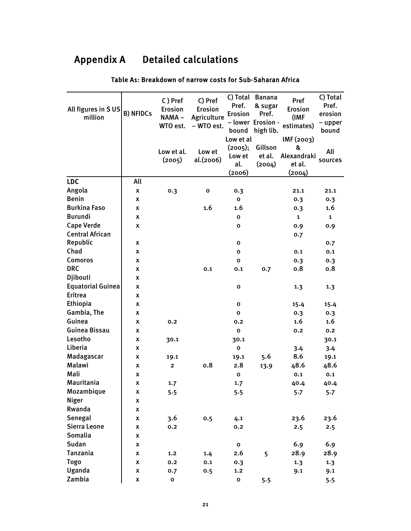# Appendix A Detailed calculations

| All figures in \$US<br>million | <b>B) NFIDCs</b>   | C) Pref<br><b>Erosion</b><br>NAMA-<br>WTO est. | C) Pref<br><b>Erosion</b><br>Agriculture<br>- WTO est. | Pref.<br><b>Erosion</b><br>bound                | C) Total Banana<br>& sugar<br>Pref.<br>- lower Erosion -<br>high lib. | Pref<br><b>Erosion</b><br>(IMF<br>estimates)       | C) Total<br>Pref.<br>erosion<br>- upper<br>bound |
|--------------------------------|--------------------|------------------------------------------------|--------------------------------------------------------|-------------------------------------------------|-----------------------------------------------------------------------|----------------------------------------------------|--------------------------------------------------|
|                                |                    | Low et al.<br>(2005)                           | Low et<br>al.(2006)                                    | Low et al<br>(2005);<br>Low et<br>al.<br>(2006) | Gillson<br>et al.<br>(2004)                                           | IMF (2003)<br>&<br>Alexandraki<br>et al.<br>(2004) | All<br>sources                                   |
| <b>LDC</b>                     | All                |                                                |                                                        |                                                 |                                                                       |                                                    |                                                  |
| Angola                         | x                  | 0.3                                            | $\mathbf o$                                            | 0.3                                             |                                                                       | 21.1                                               | 21.1                                             |
| <b>Benin</b>                   | x                  |                                                |                                                        | 0                                               |                                                                       | 0.3                                                | 0.3                                              |
| <b>Burkina Faso</b>            | x                  |                                                | 1.6                                                    | 1.6                                             |                                                                       | 0.3                                                | 1.6                                              |
| <b>Burundi</b>                 | X                  |                                                |                                                        | 0                                               |                                                                       | $\mathbf{1}$                                       | $\mathbf{1}$                                     |
| <b>Cape Verde</b>              | X                  |                                                |                                                        | O                                               |                                                                       | 0.9                                                | 0.9                                              |
| <b>Central African</b>         |                    |                                                |                                                        |                                                 |                                                                       | 0.7                                                |                                                  |
| Republic                       | x                  |                                                |                                                        | O                                               |                                                                       |                                                    | 0.7                                              |
| Chad                           | x                  |                                                |                                                        | O                                               |                                                                       | 0.1                                                | 0.1                                              |
| <b>Comoros</b>                 | x                  |                                                |                                                        | $\mathbf o$                                     |                                                                       | 0.3                                                | 0.3                                              |
| <b>DRC</b>                     | x                  |                                                | 0.1                                                    | 0.1                                             | 0.7                                                                   | 0.8                                                | 0.8                                              |
| Djibouti                       | X                  |                                                |                                                        |                                                 |                                                                       |                                                    |                                                  |
| <b>Equatorial Guinea</b>       | x                  |                                                |                                                        | o                                               |                                                                       | 1.3                                                | 1.3                                              |
| <b>Eritrea</b>                 | x                  |                                                |                                                        |                                                 |                                                                       |                                                    |                                                  |
| Ethiopia                       | x                  |                                                |                                                        | O                                               |                                                                       | 15.4                                               | 15.4                                             |
| Gambia, The                    | x                  |                                                |                                                        | $\mathbf{o}$                                    |                                                                       | 0.3                                                | 0.3                                              |
| Guinea                         | X                  | 0.2                                            |                                                        | 0.2                                             |                                                                       | $1.6\,$                                            | 1.6                                              |
| Guinea Bissau                  | x                  |                                                |                                                        | $\mathbf{o}$                                    |                                                                       | 0.2                                                | 0.2                                              |
| Lesotho                        | x                  | 30.1                                           |                                                        | 30.1                                            |                                                                       |                                                    | 30.1                                             |
| Liberia                        | x                  |                                                |                                                        | $\mathbf o$                                     |                                                                       | 3.4                                                | 3.4                                              |
| Madagascar                     | х                  | 19.1                                           |                                                        | 19.1                                            | 5.6                                                                   | 8.6                                                | 19.1                                             |
| Malawi                         | x                  | $\mathbf{2}$                                   | 0.8                                                    | 2.8                                             | 13.9                                                                  | 48.6                                               | 48.6                                             |
| Mali                           | x                  |                                                |                                                        | $\mathbf{o}$                                    |                                                                       | 0.1                                                | 0.1                                              |
| Mauritania                     | X                  | 1.7                                            |                                                        | 1.7                                             |                                                                       | 40.4                                               | 40.4                                             |
| Mozambique                     | x                  | 5.5                                            |                                                        | 5.5                                             |                                                                       | 5.7                                                | 5.7                                              |
| <b>Niger</b>                   | X                  |                                                |                                                        |                                                 |                                                                       |                                                    |                                                  |
| Rwanda                         | x                  |                                                |                                                        |                                                 |                                                                       |                                                    |                                                  |
| Senegal                        | X                  | 3.6                                            | 0.5                                                    | 4.1                                             |                                                                       | 23.6                                               | 23.6                                             |
| Sierra Leone                   | X                  | 0.2                                            |                                                        | 0.2                                             |                                                                       | 2.5                                                | 2.5                                              |
| Somalia                        | X                  |                                                |                                                        |                                                 |                                                                       |                                                    |                                                  |
| Sudan                          | X                  |                                                |                                                        | $\mathbf 0$                                     |                                                                       | 6.9                                                | 6.9                                              |
| <b>Tanzania</b>                | X                  | 1.2                                            | 1.4                                                    | 2.6                                             | 5                                                                     | 28.9                                               | 28.9                                             |
| <b>Togo</b>                    | $\pmb{\mathsf{x}}$ | 0.2                                            | 0.1                                                    | 0.3                                             |                                                                       | 1.3                                                | 1.3                                              |
| Uganda                         | X                  | 0.7                                            | 0.5                                                    | $1.2$                                           |                                                                       | 9.1                                                | 9.1                                              |
| Zambia                         | X                  | $\mathbf 0$                                    |                                                        | $\pmb{0}$                                       | 5.5                                                                   |                                                    | 5.5                                              |

#### Table A1: Breakdown of narrow costs for Sub-Saharan Africa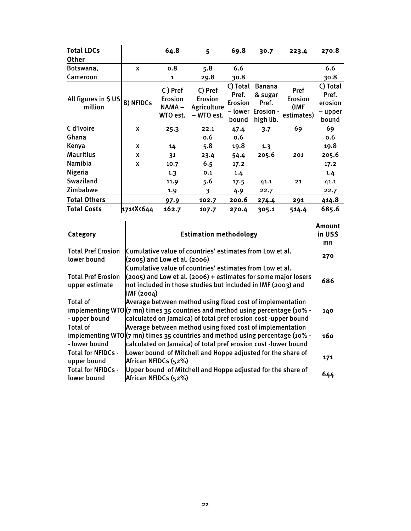| <b>Total LDCs</b><br><b>Other</b> |                                                                                                                 | 64.8                                           | 5                                                      | 69.8                                         | 30.7                                                                | 223.4                                        | 270.8                                            |
|-----------------------------------|-----------------------------------------------------------------------------------------------------------------|------------------------------------------------|--------------------------------------------------------|----------------------------------------------|---------------------------------------------------------------------|----------------------------------------------|--------------------------------------------------|
| Botswana,                         | X                                                                                                               | 0.8                                            | 5.8                                                    | 6.6                                          |                                                                     |                                              | 6.6                                              |
| Cameroon                          |                                                                                                                 | $\mathbf{1}$                                   | 29.8                                                   | 30.8                                         |                                                                     |                                              | 30.8                                             |
| All figures in \$US<br>million    | <b>B) NFIDCs</b>                                                                                                | C) Pref<br><b>Erosion</b><br>NAMA-<br>WTO est. | C) Pref<br><b>Erosion</b><br>Agriculture<br>- WTO est. | C) Total<br>Pref.<br><b>Erosion</b><br>bound | <b>Banana</b><br>& sugar<br>Pref.<br>– lower Erosion -<br>high lib. | Pref<br><b>Erosion</b><br>(IMF<br>estimates) | C) Total<br>Pref.<br>erosion<br>- upper<br>bound |
| C d'Ivoire                        | X                                                                                                               | 25.3                                           | 22.1                                                   | 47.4                                         | 3.7                                                                 | 69                                           | 69                                               |
| Ghana                             |                                                                                                                 |                                                | 0.6                                                    | 0.6                                          |                                                                     |                                              | 0.6                                              |
| Kenya                             | X                                                                                                               | 14                                             | 5.8                                                    | 19.8                                         | 1.3                                                                 |                                              | 19.8                                             |
| <b>Mauritius</b>                  | X                                                                                                               | 31                                             | 23.4                                                   | 54.4                                         | 205.6                                                               | 201                                          | 205.6                                            |
| <b>Namibia</b>                    | X                                                                                                               | 10.7                                           | 6.5                                                    | 17.2                                         |                                                                     |                                              | 17.2                                             |
| <b>Nigeria</b>                    |                                                                                                                 | 1.3                                            | 0.1                                                    | 1.4                                          |                                                                     |                                              | 1.4                                              |
| Swaziland                         |                                                                                                                 | 11.9                                           | 5.6                                                    | 17.5                                         | 41.1                                                                | 21                                           | 41.1                                             |
| Zimbabwe                          |                                                                                                                 | 1.9                                            | 3                                                      | 4.9                                          | 22.7                                                                |                                              | 22.7                                             |
| <b>Total Others</b>               |                                                                                                                 | 97.9                                           | 102.7                                                  | 200.6                                        | 274.4                                                               | 291                                          | 414.8                                            |
| <b>Total Costs</b>                | 171 <x<644< td=""><td>162.7</td><td>107.7</td><td>270.4</td><td>305.1</td><td>514.4</td><td>685.6</td></x<644<> | 162.7                                          | 107.7                                                  | 270.4                                        | 305.1                                                               | 514.4                                        | 685.6                                            |

| Category                                    | <b>Estimation methodology</b>                                                                                                                                                                                          | Amount<br>in US\$<br>mn |
|---------------------------------------------|------------------------------------------------------------------------------------------------------------------------------------------------------------------------------------------------------------------------|-------------------------|
| <b>Total Pref Erosion</b><br>lower bound    | Cumulative value of countries' estimates from Low et al.<br>$(2005)$ and Low et al. $(2006)$<br>Cumulative value of countries' estimates from Low et al.                                                               | 270                     |
| <b>Total Pref Erosion</b><br>upper estimate | $(2005)$ and Low et al. (2006) + estimates for some major losers<br>not included in those studies but included in IMF (2003) and<br>IMF (2004)                                                                         | 686                     |
| <b>Total of</b><br>- upper bound            | Average between method using fixed cost of implementation<br>implementing WTO $(7 \text{ nm})$ times 35 countries and method using percentage (10% -<br>calculated on Jamaica) of total pref erosion cost -upper bound | 140                     |
| <b>Total of</b><br>- lower bound            | Average between method using fixed cost of implementation<br>implementing WTO $(7 \text{ nm})$ times 35 countries and method using percentage (10% -<br>calculated on Jamaica) of total pref erosion cost -lower bound | 160                     |
| <b>Total for NFIDCs -</b><br>upper bound    | Lower bound of Mitchell and Hoppe adjusted for the share of<br>African NFIDCs (52%)                                                                                                                                    | 171                     |
| <b>Total for NFIDCs -</b><br>lower bound    | Upper bound of Mitchell and Hoppe adjusted for the share of<br>African NFIDCs (52%)                                                                                                                                    | 644                     |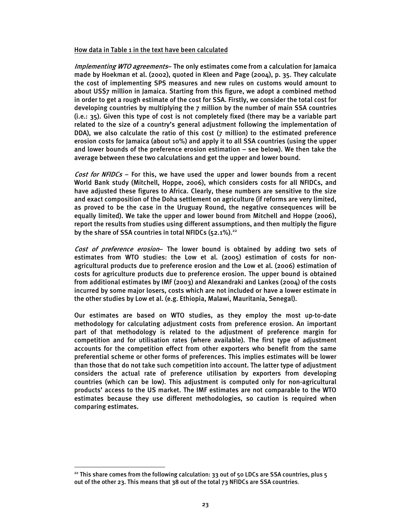#### How data in Table 1 in the text have been calculated

Implementing WTO agreements- The only estimates come from a calculation for Jamaica made by Hoekman et al. (2002), quoted in Kleen and Page (2004), p. 35. They calculate the cost of implementing SPS measures and new rules on customs would amount to about US\$7 million in Jamaica. Starting from this figure, we adopt a combined method in order to get a rough estimate of the cost for SSA. Firstly, we consider the total cost for developing countries by multiplying the 7 million by the number of main SSA countries (i.e.: 35). Given this type of cost is not completely fixed (there may be a variable part related to the size of a country's general adjustment following the implementation of DDA), we also calculate the ratio of this cost (7 million) to the estimated preference erosion costs for Jamaica (about 10%) and apply it to all SSA countries (using the upper and lower bounds of the preference erosion estimation – see below). We then take the average between these two calculations and get the upper and lower bound.

*Cost for NFIDCs* – For this, we have used the upper and lower bounds from a recent World Bank study (Mitchell, Hoppe, 2006), which considers costs for all NFIDCs, and have adjusted these figures to Africa. Clearly, these numbers are sensitive to the size and exact composition of the Doha settlement on agriculture (if reforms are very limited, as proved to be the case in the Uruguay Round, the negative consequences will be equally limited). We take the upper and lower bound from Mitchell and Hoppe (2006), report the results from studies using different assumptions, and then multiply the figure by the share of SSA countries in total NFIDCs  $(52.1\%)$ .<sup>22</sup>

Cost of preference erosion- The lower bound is obtained by adding two sets of estimates from WTO studies: the Low et al. (2005) estimation of costs for nonagricultural products due to preference erosion and the Low et al. (2006) estimation of costs for agriculture products due to preference erosion. The upper bound is obtained from additional estimates by IMF (2003) and Alexandraki and Lankes (2004) of the costs incurred by some major losers, costs which are not included or have a lower estimate in the other studies by Low et al. (e.g. Ethiopia, Malawi, Mauritania, Senegal).

Our estimates are based on WTO studies, as they employ the most up-to-date methodology for calculating adjustment costs from preference erosion. An important part of that methodology is related to the adjustment of preference margin for competition and for utilisation rates (where available). The first type of adjustment accounts for the competition effect from other exporters who benefit from the same preferential scheme or other forms of preferences. This implies estimates will be lower than those that do not take such competition into account. The latter type of adjustment considers the actual rate of preference utilisation by exporters from developing countries (which can be low). This adjustment is computed only for non-agricultural products' access to the US market. The IMF estimates are not comparable to the WTO estimates because they use different methodologies, so caution is required when comparing estimates.

<sup>&</sup>lt;sup>22</sup> This share comes from the following calculation: 33 out of 50 LDCs are SSA countries, plus  $5$ out of the other 23. This means that 38 out of the total 73 NFIDCs are SSA countries.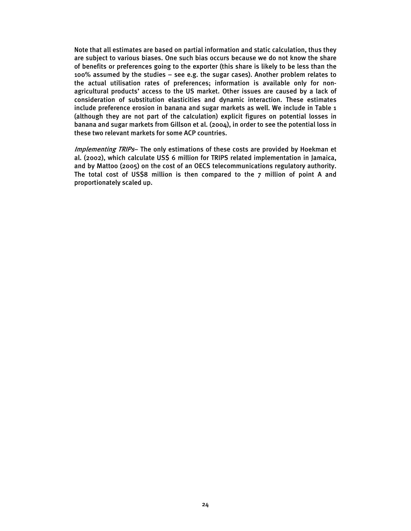Note that all estimates are based on partial information and static calculation, thus they are subject to various biases. One such bias occurs because we do not know the share of benefits or preferences going to the exporter (this share is likely to be less than the 100% assumed by the studies – see e.g. the sugar cases). Another problem relates to the actual utilisation rates of preferences; information is available only for nonagricultural products' access to the US market. Other issues are caused by a lack of consideration of substitution elasticities and dynamic interaction. These estimates include preference erosion in banana and sugar markets as well. We include in Table 1 (although they are not part of the calculation) explicit figures on potential losses in banana and sugar markets from Gillson et al. (2004), in order to see the potential loss in these two relevant markets for some ACP countries.

Implementing TRIPs- The only estimations of these costs are provided by Hoekman et al. (2002), which calculate US\$ 6 million for TRIPS related implementation in Jamaica, and by Mattoo (2005) on the cost of an OECS telecommunications regulatory authority. The total cost of US\$8 million is then compared to the 7 million of point A and proportionately scaled up.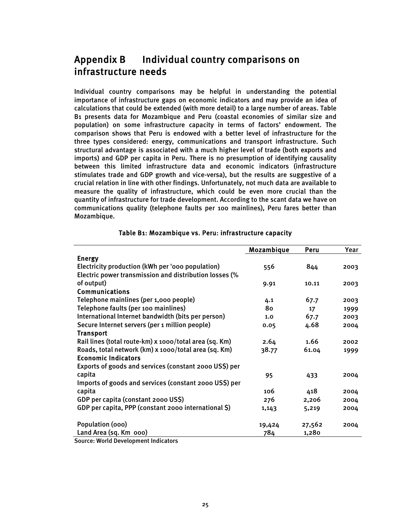# Appendix B Individual country comparisons on infrastructure needs

Individual country comparisons may be helpful in understanding the potential importance of infrastructure gaps on economic indicators and may provide an idea of calculations that could be extended (with more detail) to a large number of areas. Table B1 presents data for Mozambique and Peru (coastal economies of similar size and population) on some infrastructure capacity in terms of factors' endowment. The comparison shows that Peru is endowed with a better level of infrastructure for the three types considered: energy, communications and transport infrastructure. Such structural advantage is associated with a much higher level of trade (both exports and imports) and GDP per capita in Peru. There is no presumption of identifying causality between this limited infrastructure data and economic indicators (infrastructure stimulates trade and GDP growth and vice-versa), but the results are suggestive of a crucial relation in line with other findings. Unfortunately, not much data are available to measure the quality of infrastructure, which could be even more crucial than the quantity of infrastructure for trade development. According to the scant data we have on communications quality (telephone faults per 100 mainlines), Peru fares better than Mozambique.

|                                                        | Mozambique | Peru   | Year |
|--------------------------------------------------------|------------|--------|------|
| <b>Energy</b>                                          |            |        |      |
| Electricity production (kWh per 'ooo population)       | 556        | 844    | 2003 |
| Electric power transmission and distribution losses (% |            |        |      |
| of output)                                             | 9.91       | 10.11  | 2003 |
| Communications                                         |            |        |      |
| Telephone mainlines (per 1,000 people)                 | 4.1        | 67.7   | 2003 |
| Telephone faults (per 100 mainlines)                   | 80         | 17     | 1999 |
| International Internet bandwidth (bits per person)     | 1.0        | 67.7   | 2003 |
| Secure Internet servers (per 1 million people)         | 0.05       | 4.68   | 2004 |
| <b>Transport</b>                                       |            |        |      |
| Rail lines (total route-km) x 1000/total area (sq. Km) | 2.64       | 1.66   | 2002 |
| Roads, total network (km) x 1000/total area (sq. Km)   | 38.77      | 61.04  | 1999 |
| <b>Economic Indicators</b>                             |            |        |      |
| Exports of goods and services (constant 2000 US\$) per |            |        |      |
| capita                                                 | 95         | 433    | 2004 |
| Imports of goods and services (constant 2000 US\$) per |            |        |      |
| capita                                                 | 106        | 418    | 2004 |
| GDP per capita (constant 2000 US\$)                    | 276        | 2,206  | 2004 |
| GDP per capita, PPP (constant 2000 international \$)   | 1,143      | 5,219  | 2004 |
| Population (000)                                       | 19,424     | 27,562 | 2004 |
| Land Area (sq. Km 000)                                 | 784        | 1,280  |      |

### Table B1: Mozambique vs. Peru: infrastructure capacity

Source: World Development Indicators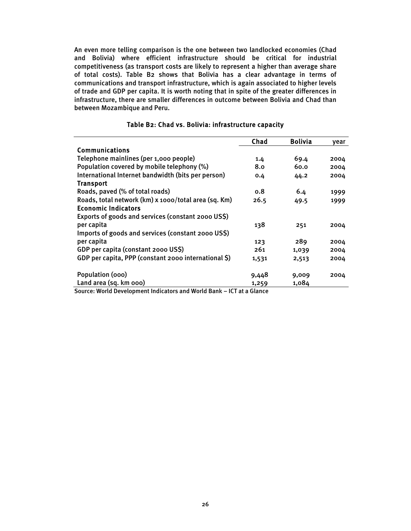An even more telling comparison is the one between two landlocked economies (Chad and Bolivia) where efficient infrastructure should be critical for industrial competitiveness (as transport costs are likely to represent a higher than average share of total costs). Table B2 shows that Bolivia has a clear advantage in terms of communications and transport infrastructure, which is again associated to higher levels of trade and GDP per capita. It is worth noting that in spite of the greater differences in infrastructure, there are smaller differences in outcome between Bolivia and Chad than between Mozambique and Peru.

|                                                      | Chad  | <b>Bolivia</b> | year |
|------------------------------------------------------|-------|----------------|------|
| <b>Communications</b>                                |       |                |      |
| Telephone mainlines (per 1,000 people)               | 1.4   | 69.4           | 2004 |
| Population covered by mobile telephony (%)           | 8.0   | 60.0           | 2004 |
| International Internet bandwidth (bits per person)   | 0.4   | 44.2           | 2004 |
| <b>Transport</b>                                     |       |                |      |
| Roads, paved (% of total roads)                      | 0.8   | 6.4            | 1999 |
| Roads, total network (km) x 1000/total area (sq. Km) | 26.5  | 49.5           | 1999 |
| <b>Economic Indicators</b>                           |       |                |      |
| Exports of goods and services (constant 2000 US\$)   |       |                |      |
| per capita                                           | 138   | 251            | 2004 |
| Imports of goods and services (constant 2000 US\$)   |       |                |      |
| per capita                                           | 123   | 289            | 2004 |
| GDP per capita (constant 2000 US\$)                  | 261   | 1,039          | 2004 |
| GDP per capita, PPP (constant 2000 international \$) | 1,531 | 2,513          | 2004 |
|                                                      |       |                |      |
| Population (000)                                     | 9,448 | 9,009          | 2004 |
| Land area (sq. km ooo)<br>.                          | 1,259 | 1,084          |      |

#### Table B2: Chad vs. Bolivia: infrastructure capacity

Source: World Development Indicators and World Bank – ICT at a Glance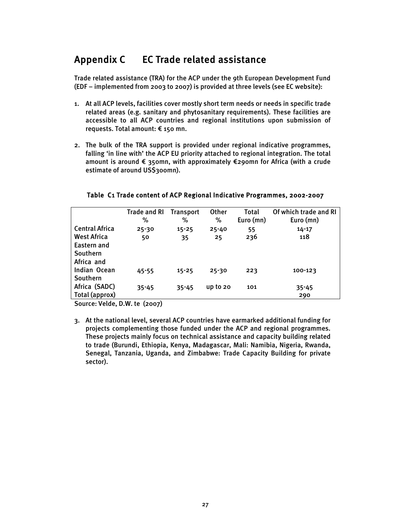# Appendix C EC Trade related assistance

Trade related assistance (TRA) for the ACP under the 9th European Development Fund (EDF – implemented from 2003 to 2007) is provided at three levels (see EC website):

- 1. At all ACP levels, facilities cover mostly short term needs or needs in specific trade related areas (e.g. sanitary and phytosanitary requirements). These facilities are accessible to all ACP countries and regional institutions upon submission of requests. Total amount: € 150 mn.
- 2. The bulk of the TRA support is provided under regional indicative programmes, falling 'in line with' the ACP EU priority attached to regional integration. The total amount is around € 350mn, with approximately €290mn for Africa (with a crude estimate of around US\$300mn).

|                                                             | <b>Trade and RI</b><br>% | <b>Transport</b><br>% | <b>Other</b><br>% | Total<br>Euro (mn) | Of which trade and RI<br>Euro (mn) |
|-------------------------------------------------------------|--------------------------|-----------------------|-------------------|--------------------|------------------------------------|
| <b>Central Africa</b>                                       | $25 - 30$                | $15 - 25$             | $25 - 40$         | 55                 | $14 - 17$                          |
| <b>West Africa</b><br>Eastern and<br>Southern<br>Africa and | 50                       | 35                    | 25                | 236                | 118                                |
| Indian Ocean<br>Southern                                    | $45 - 55$                | $15 - 25$             | $25 - 30$         | 223                | 100-123                            |
| Africa (SADC)<br>Total (approx)                             | $35 - 45$                | $35 - 45$             | up to $20$        | 101                | $35 - 45$<br>290                   |

### Table C1 Trade content of ACP Regional Indicative Programmes, 2002-2007

Source: Velde, D.W. te (2007)

3. At the national level, several ACP countries have earmarked additional funding for projects complementing those funded under the ACP and regional programmes. These projects mainly focus on technical assistance and capacity building related to trade (Burundi, Ethiopia, Kenya, Madagascar, Mali: Namibia, Nigeria, Rwanda, Senegal, Tanzania, Uganda, and Zimbabwe: Trade Capacity Building for private sector).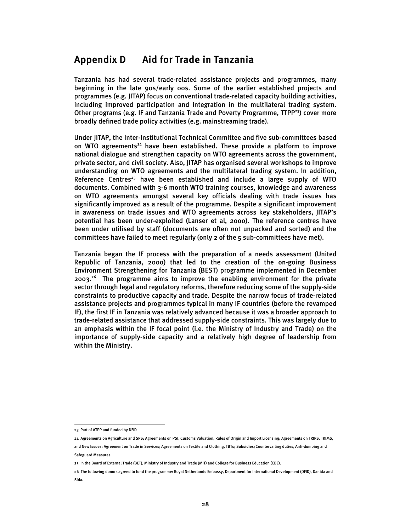# Appendix D Aid for Trade in Tanzania

Tanzania has had several trade-related assistance projects and programmes, many beginning in the late 90s/early 00s. Some of the earlier established projects and programmes (e.g. JITAP) focus on conventional trade-related capacity building activities, including improved participation and integration in the multilateral trading system. Other programs (e.g. IF and Tanzania Trade and Poverty Programme,  $TIPP<sup>23</sup>$ ) cover more broadly defined trade policy activities (e.g. mainstreaming trade).

Under JITAP, the Inter-Institutional Technical Committee and five sub-committees based on WTO agreements<sup>24</sup> have been established. These provide a platform to improve national dialogue and strengthen capacity on WTO agreements across the government, private sector, and civil society. Also, JITAP has organised several workshops to improve understanding on WTO agreements and the multilateral trading system. In addition, Reference Centres<sup>25</sup> have been established and include a large supply of WTO documents. Combined with 3-6 month WTO training courses, knowledge and awareness on WTO agreements amongst several key officials dealing with trade issues has significantly improved as a result of the programme. Despite a significant improvement in awareness on trade issues and WTO agreements across key stakeholders, JITAP's potential has been under-exploited (Lanser et al, 2000). The reference centres have been under utilised by staff (documents are often not unpacked and sorted) and the committees have failed to meet regularly (only 2 of the 5 sub-committees have met).

Tanzania began the IF process with the preparation of a needs assessment (United Republic of Tanzania, 2000) that led to the creation of the on-going Business Environment Strengthening for Tanzania (BEST) programme implemented in December 2003.26 The programme aims to improve the enabling environment for the private sector through legal and regulatory reforms, therefore reducing some of the supply-side constraints to productive capacity and trade. Despite the narrow focus of trade-related assistance projects and programmes typical in many IF countries (before the revamped IF), the first IF in Tanzania was relatively advanced because it was a broader approach to trade-related assistance that addressed supply-side constraints. This was largely due to an emphasis within the IF focal point (i.e. the Ministry of Industry and Trade) on the importance of supply-side capacity and a relatively high degree of leadership from within the Ministry.

<sup>23</sup> Part of ATPP and funded by DFID

<sup>24</sup> Agreements on Agriculture and SPS; Agreements on PSI, Customs Valuation, Rules of Origin and Import Licensing; Agreements on TRIPS, TRIMS, and New Issues; Agreement on Trade in Services; Agreements on Textile and Clothing, TBTs; Subsidies/Countervailing duties, Anti-dumping and Safeguard Measures.

<sup>25</sup> In the Board of External Trade (BET), Ministry of Industry and Trade (MIT) and College for Business Education (CBE).

<sup>26</sup> The following donors agreed to fund the programme: Royal Netherlands Embassy, Department for International Development (DFID), Danida and Sida.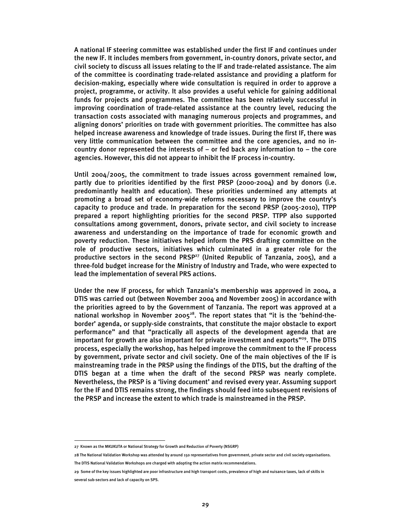A national IF steering committee was established under the first IF and continues under the new IF. It includes members from government, in-country donors, private sector, and civil society to discuss all issues relating to the IF and trade-related assistance. The aim of the committee is coordinating trade-related assistance and providing a platform for decision-making, especially where wide consultation is required in order to approve a project, programme, or activity. It also provides a useful vehicle for gaining additional funds for projects and programmes. The committee has been relatively successful in improving coordination of trade-related assistance at the country level, reducing the transaction costs associated with managing numerous projects and programmes, and aligning donors' priorities on trade with government priorities. The committee has also helped increase awareness and knowledge of trade issues. During the first IF, there was very little communication between the committee and the core agencies, and no incountry donor represented the interests of  $-$  or fed back any information to  $-$  the core agencies. However, this did not appear to inhibit the IF process in-country.

Until 2004/2005, the commitment to trade issues across government remained low, partly due to priorities identified by the first PRSP (2000-2004) and by donors (i.e. predominantly health and education). These priorities undermined any attempts at promoting a broad set of economy-wide reforms necessary to improve the country's capacity to produce and trade. In preparation for the second PRSP (2005-2010), TTPP prepared a report highlighting priorities for the second PRSP. TTPP also supported consultations among government, donors, private sector, and civil society to increase awareness and understanding on the importance of trade for economic growth and poverty reduction. These initiatives helped inform the PRS drafting committee on the role of productive sectors, initiatives which culminated in a greater role for the productive sectors in the second PRSP<sup>27</sup> (United Republic of Tanzania, 2005), and a three-fold budget increase for the Ministry of Industry and Trade, who were expected to lead the implementation of several PRS actions.

Under the new IF process, for which Tanzania's membership was approved in 2004, a DTIS was carried out (between November 2004 and November 2005) in accordance with the priorities agreed to by the Government of Tanzania. The report was approved at a national workshop in November 2005 $^{28}$ . The report states that "it is the 'behind-theborder' agenda, or supply-side constraints, that constitute the major obstacle to export performance" and that "practically all aspects of the development agenda that are important for growth are also important for private investment and exports"<sup>29</sup>. The DTIS process, especially the workshop, has helped improve the commitment to the IF process by government, private sector and civil society. One of the main objectives of the IF is mainstreaming trade in the PRSP using the findings of the DTIS, but the drafting of the DTIS began at a time when the draft of the second PRSP was nearly complete. Nevertheless, the PRSP is a 'living document' and revised every year. Assuming support for the IF and DTIS remains strong, the findings should feed into subsequent revisions of the PRSP and increase the extent to which trade is mainstreamed in the PRSP.

 $\overline{a}$ 27 Known as the MKUKUTA or National Strategy for Growth and Reduction of Poverty (NSGRP)

<sup>28</sup> The National Validation Workshop was attended by around 150 representatives from government, private sector and civil society organisations. The DTIS National Validation Workshops are charged with adopting the action matrix recommendations.

<sup>29</sup> Some of the key issues highlighted are poor infrastructure and high transport costs, prevalence of high and nuisance taxes, lack of skills in several sub-sectors and lack of capacity on SPS.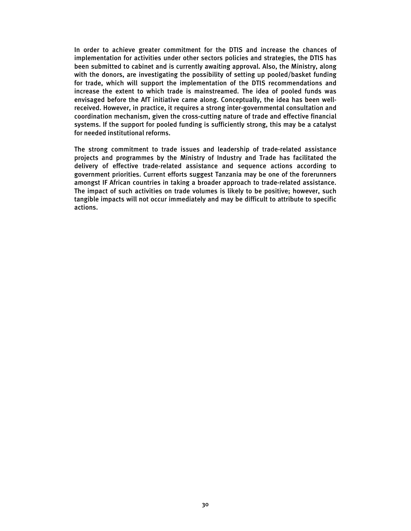In order to achieve greater commitment for the DTIS and increase the chances of implementation for activities under other sectors policies and strategies, the DTIS has been submitted to cabinet and is currently awaiting approval. Also, the Ministry, along with the donors, are investigating the possibility of setting up pooled/basket funding for trade, which will support the implementation of the DTIS recommendations and increase the extent to which trade is mainstreamed. The idea of pooled funds was envisaged before the AfT initiative came along. Conceptually, the idea has been wellreceived. However, in practice, it requires a strong inter-governmental consultation and coordination mechanism, given the cross-cutting nature of trade and effective financial systems. If the support for pooled funding is sufficiently strong, this may be a catalyst for needed institutional reforms.

The strong commitment to trade issues and leadership of trade-related assistance projects and programmes by the Ministry of Industry and Trade has facilitated the delivery of effective trade-related assistance and sequence actions according to government priorities. Current efforts suggest Tanzania may be one of the forerunners amongst IF African countries in taking a broader approach to trade-related assistance. The impact of such activities on trade volumes is likely to be positive; however, such tangible impacts will not occur immediately and may be difficult to attribute to specific actions.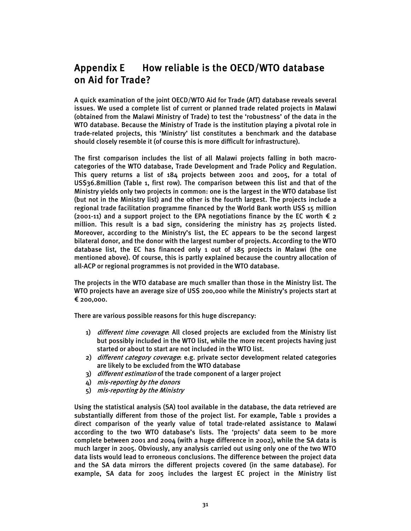# Appendix E How reliable is the OECD/WTO database on Aid for Trade?

A quick examination of the joint OECD/WTO Aid for Trade (AfT) database reveals several issues. We used a complete list of current or planned trade related projects in Malawi (obtained from the Malawi Ministry of Trade) to test the 'robustness' of the data in the WTO database. Because the Ministry of Trade is the institution playing a pivotal role in trade-related projects, this 'Ministry' list constitutes a benchmark and the database should closely resemble it (of course this is more difficult for infrastructure).

The first comparison includes the list of all Malawi projects falling in both macrocategories of the WTO database, Trade Development and Trade Policy and Regulation. This query returns a list of 184 projects between 2001 and 2005, for a total of US\$36.8million (Table 1, first row). The comparison between this list and that of the Ministry yields only two projects in common: one is the largest in the WTO database list (but not in the Ministry list) and the other is the fourth largest. The projects include a regional trade facilitation programme financed by the World Bank worth US\$ 15 million (2001-11) and a support project to the EPA negotiations finance by the EC worth  $\epsilon$  2 million. This result is a bad sign, considering the ministry has 25 projects listed. Moreover, according to the Ministry's list, the EC appears to be the second largest bilateral donor, and the donor with the largest number of projects. According to the WTO database list, the EC has financed only 1 out of 185 projects in Malawi (the one mentioned above). Of course, this is partly explained because the country allocation of all-ACP or regional programmes is not provided in the WTO database.

The projects in the WTO database are much smaller than those in the Ministry list. The WTO projects have an average size of US\$ 200,000 while the Ministry's projects start at € 200,000.

There are various possible reasons for this huge discrepancy:

- 1) different time coverage: All closed projects are excluded from the Ministry list but possibly included in the WTO list, while the more recent projects having just started or about to start are not included in the WTO list.
- 2) different category coverage: e.g. private sector development related categories are likely to be excluded from the WTO database
- 3) different estimation of the trade component of a larger project
- 4) mis-reporting by the donors
- 5) mis-reporting by the Ministry

Using the statistical analysis (SA) tool available in the database, the data retrieved are substantially different from those of the project list. For example, Table 1 provides a direct comparison of the yearly value of total trade-related assistance to Malawi according to the two WTO database's lists. The 'projects' data seem to be more complete between 2001 and 2004 (with a huge difference in 2002), while the SA data is much larger in 2005. Obviously, any analysis carried out using only one of the two WTO data lists would lead to erroneous conclusions. The difference between the project data and the SA data mirrors the different projects covered (in the same database). For example, SA data for 2005 includes the largest EC project in the Ministry list